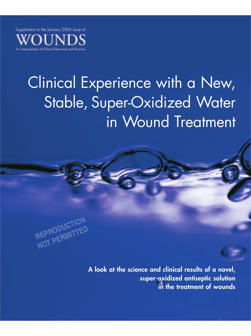

# Clinical Experience with a New, Stable, Super-Oxidized Water in Wound Treatment

**REPRODUCTION NOT PERMITTED**

**A look at the science and clinical results of a novel, super-oxidized antiseptic solution in the treatment of wounds**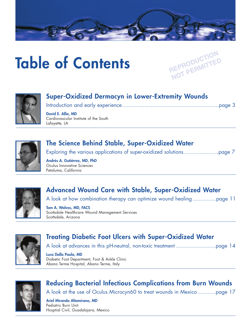

# **Table of Contents**





# **Super-Oxidized Dermacyn in Lower-Extremity Wounds**

Introduction and early experience.............................................................page 3

**David E. Allie, MD** Cardiovascular Institute of the South Lafayette, LA



# **The Science Behind Stable, Super-Oxidized Water**

Exploring the various applications of super-oxidized solutions......................page 7

**Andrés A. Gutiérrez, MD, PhD** Oculus Innovative Sciences Petaluma, California



# **Advanced Wound Care with Stable, Super-Oxidized Water**

A look at how combination therapy can optimize wound healing...............page 11

**Tom A. Wolvos, MD, FACS** Scottsdale Healthcare Wound Management Services Scottsdale, Arizona



# **Treating Diabetic Foot Ulcers with Super-Oxidized Water**

A look at advances in this pH-neutral, non-toxic treatment .........................page 14

**Luca Dalla Paola, MD** Diabetic Foot Department, Foot & Ankle Clinic Abano Terme Hospital, Abano Terme, Italy



**Reducing Bacterial Infectious Complications from Burn Wounds** A look at the use of Oculus Microcyn60 to treat wounds in Mexico ...........page 17

**Ariel Miranda Altamirano, MD** Pediatric Burn Unit Hosptial Civil, Guadalajara, Mexico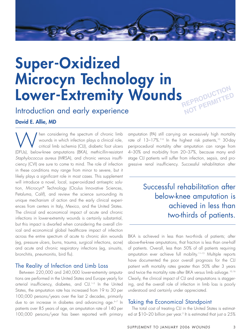

# **Super-Oxidized Microcyn Technology in Lower-Extremity Wounds REPRODUCTION**

Introduction and early experience

# **David E. Allie, MD**

When considering the spectrum of chronic limb<br>wounds in which infection plays a clinical role,<br>critical limb ischemia (CLI), diabetic foot ulcers<br>(DELIs), below-knop amoutations (BKA), mathiellin-resistant wounds in which infection plays a clinical role, critical limb ischemia (CLI), diabetic foot ulcers (DFUs), below-knee amputations (BKA), methicillin-resistant *Staphylococcus aureus* (MRSA), and chronic venous insufficiency (CVI) are sure to come to mind. The role of infection in these conditions may range from minor to severe, but it likely plays a significant role in most cases. This supplement will introduce a novel, local, super-oxidized antiseptic solution, Microcyn® Technology (Oculus Innovative Sciences, Petaluma, Calif), and review the science surrounding its unique mechanism of action and the early clinical experiences from centers in Italy, Mexico, and the United States. The clinical and economical impact of acute and chronic infections in lower-extremity wounds is certainly substantial, but this impact is dwarfed when considering the overall clinical and economical global healthcare impact of infection across the entire spectrum of acute to chronic skin wounds (eg, pressure ulcers, burns, trauma, surgical infections, acne) and acute and chronic respiratory infections (eg, sinusitis, bronchitis, pneumonitis, bird flu).

# The Reality of Infection and Limb Loss

Between 220,000 and 240,000 lower-extremity amputations are performed in the United States and Europe yearly for arterial insufficiency, diabetes, and CLI.<sup>1-5</sup> In the United States, the amputation rate has increased from 19 to 30 per 100,000 persons/years over the last 2 decades, primarily due to an increase in diabetes and advancing age.<sup>6-7</sup> In patients over 85 years of age, an amputation rate of 140 per 100,000 persons/year has been reported with primary amputation (PA) still carrying an excessively high mortality rate of 13-17%.<sup>7-9</sup> In the highest risk patients,<sup>10</sup> 30-day periprocedural mortality after amputation can range from 4–30% and morbidity from 20–37%, because many endstage CLI patients will suffer from infection, sepsis, and progressive renal insufficiency. Successful rehabilitation after

**NOT PERMITTED** 

Successful rehabilitation after below-knee amputation is achieved in less than two-thirds of patients.

BKA is achieved in less than two-thirds of patients; after above-the-knee amputations, that fraction is less than one-half of patients. Overall, less than 50% of all patients requiring amputation ever achieve full mobility.<sup>11-15</sup> Multiple reports have documented the poor overall prognosis for the CLI patient with mortality rates greater than 50% after 3 years and twice the mortality rate after BKA versus limb salvage.<sup>10,16</sup> Clearly, the clinical impact of CLI and amputations is staggering, and the overall role of infection in limb loss is poorly understood and certainly under appreciated.

# Taking the Economical Standpoint

The total cost of treating CLI in the United States is estimated at \$10–20 billion per year.<sup>3</sup> It is estimated that just a 25%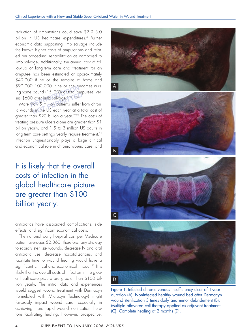0-100,000 if he or she be<br>e bound (15-20% of total a<br>0 after limb salvage.<sup>3,10,16-18</sup><br>than 5 million patients suffe reduction of amputations could save \$2.9–3.0 billion in US healthcare expenditures.<sup>3</sup> Further economic data supporting limb salvage include the known higher costs of amputations and related periprocedural rehabilitation as compared to limb salvage. Additionally, the annual cost of follow-up or long-term care and treatment for an amputee has been estimated at approximately \$49,000 if he or she remains at home and \$90,000–100,000 if he or she becomes nursing-home bound (15–20% of total amputees) versus \$600 after limb salvage.3,10,16–18

**NOTE THAT SERVICES OF IDIAL CHIPS**<br> **NOTE:** The Salvage.<sup>3,10,16-18</sup><br> **NOTE:** Simillion patients suffer to similar the US each year at a to More than 5 million patients suffer from chronic wounds in the US each year at a total cost of greater than \$20 billion a year.<sup>19,20</sup> The costs of treating pressure ulcers alone are greater than \$1 billion yearly, and 1.5 to 3 million US adults in long-term care settings yearly require treatment.<sup>21</sup> Infection unquestionably plays a large clinical and economical role in chronic wound care, and

It is likely that the overall costs of infection in the global healthcare picture are greater than \$100 billion yearly.

antibiotics have associated complications, side effects, and significant economical costs.

The national daily hospital cost per Medicare patient averages \$2,360; therefore, any strategy to rapidly sterilize wounds, decrease IV and oral antibiotic use, decrease hospitalizations, and facilitate time to wound healing would have a significant clinical and economical impact.<sup>22</sup> It is likely that the overall costs of infection in the global healthcare picture are greater than \$100 billion yearly. The initial data and experiences would suggest wound treatment with Dermacyn (formulated with Microcyn Technology) might favorably impact wound care, especially in achieving more rapid wound sterilization therefore facilitating healing. However, prospective,



Figure 1. Infected chronic venous insufficiency ulcer of 1-year duration (A). Noninfected healthy wound bed after Dermacyn wound sterilization 3 times daily and minor debridement (B). Multiple bilayered cell therapy applied as adjuvant treatment (C). Complete healing at 2 months (D).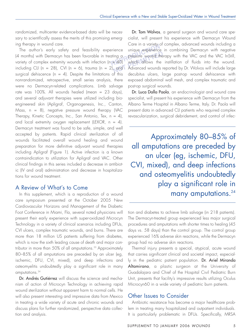randomized, multicenter evidence-based data will be necessary to scientifically assess the merits of this promising emerging therapy in wound care.

The author's early safety and feasibility experience (4 months) with Dermacyn has been favorable in treating a variety of complex extremity wounds with infection ( $n = 40$ ) including CLI (n = 28), CVI (n = 6), trauma (n = 2), and surgical dehiscence  $(n = 4)$ . Despite the limitations of this nonrandomized, retrospective, small series analysis, there were no Dermacyn-related complications. Limb salvage rate was 100%. All wounds healed (mean = 23 days), and several adjuvant therapies were utilized including bioengineered skin (Apligraf, Organogenesis, Inc., Canton, Mass,  $n = 8$ ), negative pressure wound therapy (VAC Therapy, Kinetic Concepts, Inc., San Antonio, Tex,  $n = 4$ ), and local extremity oxygen replacement (LEXOR,  $n = 4$ ). Dermacyn treatment was found to be safe, simple, and well accepted by patients. Rapid clinical sterilization of all wounds facilitated overall wound healing and wound preparation for more definitive adjuvant wound therapies including Apligraf (Figure 1). Active infection is a known contraindication to utilization for Apligraf and VAC. Other clinical findings in this series included a decrease in antibiotic (IV and oral) administration and decrease in hospitalizations for wound treatment.

# A Review of What's to Come

In this supplement, which is a reproduction of a wound care symposium presented at the October 2005 New Cardiovascular Horizons and Management of the Diabetic Foot Conference in Miami, Fla, several noted physicians will present their early experience with super-oxidized Microcyn Technology in a variety of clinical scenarios including DFUs, CVI ulcers, complex traumatic wounds, and burns. There are more than 18 million US patients suffering from diabetes, which is now the sixth leading cause of death and major contributor in more than 50% of all amputations.<sup>23</sup> Approximately 80–85% of all amputations are preceded by an ulcer (eg, ischemic, DFU, CVI, mixed), and deep infections and osteomyelitis undoubtedly play a significant role in many amputations.<sup>24</sup>

Dr. Andrés Gutiérrez will discuss the science and mechanism of action of Microcyn Technology in achieving rapid wound sterilization without apparent harm to normal cells. He will also present interesting and impressive data from Mexico in treating a wide variety of acute and chronic wounds and discuss plans for further randomized, perspective data collection and analysis.

erience unique experience<br>ating a pressure wound the<br>= 40) which allows the Ing a pressure wound therapy with the VAC and the VAC InStill,<br> **AO** which allows the instillation of fluids into the wound.<br> **A** and Advanced wounds reported by Dr. Wolvos will include large Dr. Tom Wolvos, a general surgeon and wound care specialist, will present his experience with Dermacyn Wound Care in a variety of complex, advanced wounds including a unique experience in combining Dermacyn with negative which allows the instillation of fluids into the wound. Advanced wounds reported by Dr. Wolvos will include large decubitus ulcers, large post-op wound dehiscence with exposed abdominal wall mesh, and complex traumatic and post-op surgical wounds.

> Dr. Luca Dalla Paola, an endocrinologist and wound care specialist, will present his experience with Dermacyn from the Albano Terme Hospital in Albano Terme, Italy. Dr. Paola will present data in advanced CLI patients who required complex revascularization, surgical debridement, and control of infec-

Approximately 80–85% of all amputations are preceded by an ulcer (eg, ischemic, DFU, CVI, mixed), and deep infections and osteomyelitis undoubtedly play a significant role in many amputations.<sup>24</sup>

tion and diabetes to achieve limb salvage (in 218 patients). The Dermacyn-treated group experienced less major surgical procedures and amputations with shorter times to healing (45 days vs. 58 days) than the control group. The control group experienced 16% adverse skin reactions, while the Dermacyn group had no adverse skin reactions.

Thermal injury presents a special, atypical, acute wound that carries significant clinical and societal impact, especially in the pediatric patient population. Dr. Ariel Miranda Altamirano, a plastic surgeon at the University of Guadalajara and Chief of the Hospital Civil Pediatric Burn Unit, presents that facility's impressive results utilizing Oculus Microcyn60 in a wide variety of pediatric burn patients.

# Other Issues to Consider

Antibiotic resistance has become a major healthcare problem in treating many hospitalized and outpatient individuals. It is particularly problematic in DFUs. Specifically, MRSA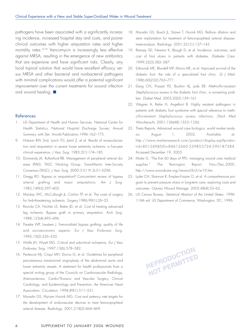pathogens have been associated with a significantly increasing incidence, increased hospital stay and costs, and poorer clinical outcomes with higher amputation rates and higher mortality rates.25,26 Vancomycin is increasingly less effective against MRSA, resulting in the emergence of new antibiotics that are expensive and have significant risks. Clearly, any local topical solution that would have excellent efficacy versus MRSA and other bacterial and nonbacterial pathogens with minimal complications would offer a potential significant improvement over the current treatments for wound infection and wound healing. **■**

#### References

- 1. US Department of Health and Human Services. National Center for Health Statistics. National Hospital Discharge Survey: Annual Summary with Det Arnold Publication;1996:162–175.
- 9. Hobson RW 2nd, Lynch TG, Jamil Z, et al. Results of revascularization and amputation in severe lower extremity ischemia: a five-year clinical experience. *J Vasc Surg.* 1985;2(1):174–185.
- 10. Dormandy JA, Rutherford RB. Management of peripheral arterial disease (PAD). TASC Working Group. TransAtlantic Inter-Society Consensus (TASC). *J Vasc Surg.* 2000;31(1 Pt 2):S1–S296.
- 11. Gregg RO. Bypass or amputation? Concomitant review of bypass arterial grafting and major amputations. *Am J Surg.* 1985;149(3):397–402.
- 12. Mackey WC, McCullough JL, Conlon TP, et al. The costs of surgery for limb-threatening ischemia. *Surgery.*1986;99(1):26–35.
- 13. Raviola CA, Nichter LS, Baker JD, et al. Cost of treating advanced leg ischemia. Bypass graft vs primary amputation. *Arch Surg.* 1988;123(4):495–496.
- 14. Paaske WP, Laustsen J. Femorodistal bypass grafting: quality of life and socioeconomic aspects. *Eur J Vasc Endovasc Surg.* 1995;10(2):226–230.
- 15. Wolfe JH, Wyatt MG. Critical and subcritical ischaemia. *Eur J Vasc Endovasc Surg.* 1997;13(6):578–582.
- 16. Pentecost MJ, Criqui MH, Dorros G, et al. Guidelines for peripheral percutaneous transluminal angioplasty of the abdominal aorta and lower extremity vessels. A statement for health professionals from a special writing group of the Councils on Cardiovascular Radiology, Arteriosclerosis, Cardio-Thoracic and Vascular Surgery, Clinical Cardiology, and Epidemiology and Prevention, the American Heart Association. *Circulation.* 1994;89(1):511–531.
- 17. Muradin GS, Myriam Hunink MG. Cost and patency rate targets for the development of endovascular devices to treat femoropopliteal arterial disease. *Radiology.* 2001;218(2):464–469.
- 18. Muradin GS, Bosch JL, Stijnen T, Hunink MG. Balloon dilation and stent implantation for treatment of femoropopliteal arterial disease: meta-analysis. *Radiology.* 2001;221(1):137–145.
- 19. Ramsey SD, Newton K, Blough D, et al. Incidence, outcomes, and cost of foot ulcers in patients with diabetes. *Diabetes Care.* 1999;22(3):382–387.
- 20. Edmonds ME, Blundell MP, Morris ME, et al. Improved survival of the diabetic foot: the role of a specialized foot clinic. *Q J Med.* 1986;60(232):763–771.
- 21. Dang CN, Prasad YD, Boulton AJ, Jude EB. Methicillin-resistant *Staphylococcus aureus* in the diabetic foot clinic: a worsening problem. *Diabet Med.* 2003;20(2):159–161.
- 22. Wagner A, Reike H, Angelkort B. Highly resistant pathogens in patients with diabetic foot syndrome with special reference to methicillin-resistant *Staphylococcus aureus* infections. *Dtsch Med Worchenschr.* 2001;126(48):1353–1356.
- 23. Theta Reports. Advanced wound care biologics: world market analysis. August 1, 2002. Available at: http://www.marketresearch.com/product/display.asp?productid=801249&SID=84612660-339803724-290187384. Accessed December 19, 2005.
- 24. Motta G. "The first 60 days of PPS: managing wound care medical supplies." The Remington Report. Nov/Dec.2000. http://www.woundcare.org/newsvol5n3/ar10.htm .
- 25. Lyder CH, Shannon R, Empleo-Frazier O, et al. A comprehensive program to prevent pressure ulcers in long-term care: exploring costs and outcomes. *Ostomy Wound Manage.* 2002;48(4):52–62.
- 26. US Census Bureau. *Statistical Abstract of the United States: 1996.* 116th ed. US Department of Commerce, Washington, DC; 1996.

**REPRODUCTION NOT PERMITTED**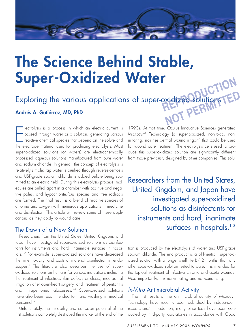

# **The Science Behind Stable, Super-Oxidized Water**

**PREPERDUCTION NOT PERMITTED** Exploring the various applications of super-oxidized solutions **Andrés A. Gutiérrez, MD, PhD**

The electrolysis is a process in which an electric current is<br>passed through water or a solution, generating various<br>reactive chemical species that depend on the solute and<br>the electrode material used for producing electro lectrolysis is a process in which an electric current is passed through water or a solution, generating various reactive chemical species that depend on the solute and super-oxidized solutions (or waters) are electrochemically processed aqueous solutions manufactured from pure water and sodium chloride. In general, the concept of electrolysis is relatively simple: tap water is purified through reverse-osmosis and USP-grade sodium chloride is added before being submitted to an electric field. During this electrolysis process, molecules are pulled apart in a chamber with positive and negative poles, and hypochlorite/ous species and free radicals are formed. The final result is a blend of reactive species of chlorine and oxygen with numerous applications in medicine and disinfection. This article will review some of these applications as they apply to wound care.

# The Dawn of a New Solution

Researchers from the United States, United Kingdom, and Japan have investigated super-oxidized solutions as disinfectants for instruments and hard, inanimate surfaces in hospitals.1–3 For example, super-oxidized solutions have decreased the time, toxicity, and costs of material disinfection in endoscopes.4 The literature also describes the use of superoxidized solutions on humans for various indications including the treatment of infectious skin defects or ulcers, mediastinal irrigation after open-heart surgery, and treatment of peritonitis and intraperitoneal abscesses.<sup>5-8</sup> Super-oxidized solutions have also been recommended for hand washing in medical personnel.9

Unfortunately, the instability and corrosion potential of the first solutions completely destroyed the market at the end of the

1990s. At that time, Oculus Innovative Sciences generated Microcyn® Technology (a super-oxidized, non-toxic, nonirritating, no-rinse dermal wound irrigant) that could be used for wound care treatment. The electrolysis cells used to produce this super-oxidized solution are significantly different from those previously designed by other companies. This solu-

Researchers from the United States, United Kingdom, and Japan have investigated super-oxidized solutions as disinfectants for instruments and hard, inanimate surfaces in hospitals.<sup>1-3</sup>

tion is produced by the electrolysis of water and USP-grade sodium chloride. The end product is a pH-neutral, super-oxidized solution with a longer shelf life (>12 months) than any other super-oxidized solution tested to date. It is intended for the topical treatment of infective chronic and acute wounds. Most importantly, it is non-irritating and non-sensitizing.

### *In-Vitro* Antimicrobial Activity

The first results of the antimicrobial activity of Microcyn Technology have recently been published by independent researchers.11 In addition, many other tests have been conducted by third-party laboratories in accordance with Good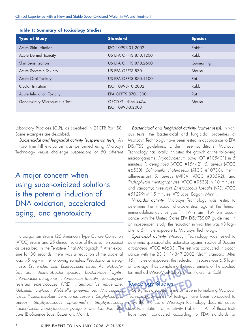| <b>Type of Study</b>           | <b>Standard</b>                        | <b>Species</b> |
|--------------------------------|----------------------------------------|----------------|
| Acute Skin Irritation          | ISO 10993-01:2002                      | Rabbit         |
| <b>Acute Dermal Toxicity</b>   | <b>US EPA OPPTS 870.1200</b>           | Rabbit         |
| Skin Sensitization             | <b>US EPA OPPTS 870.2600</b>           | Guinea Pig     |
| Acute Systemic Toxicity        | US EPA OPPTS 870                       | Mouse          |
| <b>Acute Oral Toxicity</b>     | US EPA OPPTS 870.1100                  | Rat            |
| Ocular Irritation              | ISO 10993-10:2002                      | Rabbit         |
| Acute Inhalation Toxicity      | EPA OPPTS 870.1300                     | Rat            |
| Genotoxicity Micronucleus Test | OECD Guidline #474<br>ISO 10993-3:2003 | Mouse          |

#### **Table 1: Summary of Toxicology Studies**

Laboratory Practices (GLP), as specified in 21CFR Part 58. Some examples are described.

*Bactericidal and fungicidal activity (suspension tests).* An *in-vitro* time kill evaluation was performed using Microcyn Technology versus challenge suspensions of 50 different

A major concern when using super-oxidized solutions is the potential induction of DNA oxidation, accelerated aging, and genotoxicity.

microorganism strains (25 American Type Culture Collection [ATCC] strains and 25 clinical isolates of those same species] as described in the Tentative Final Monograph.12 After exposure for 30 seconds, there was a reduction of the bacterial load >5 log10 in the following samples: *Pseudomonas aeruginosa, Escherichia coli, Enterococcus hirae, Acinetobacter baumanni, Acinetobacter* species, *Bacteroides fragilis, Enterobacter aerogenes, Enterococcus faecalis, vancomycinresistant enterococcus* (VRE), *Haemophilus influenzae, Klebsiella oxytoca, Klebsiella pneumoniae, Micrococcus luteus, Proteus mirabilis, Serratia marcescens, Staphylococcus haemolyticus, Staphylococcus pyogene,* and *Candida albicans* (BioScience Labs, Bozeman, Mont.).

*Bactericidal and fungicidal activity (carrier tests).* In various tests, the bactericidal and fungicidal properties of Microcyn Technology have been tested in accordance to EPA DIS/TSS guidelines. Under these conditions, Microcyn Technology has totally inhibited the growth of the following microorganisms: *Mycobacterium bovis* (OT #105401) in 5 minutes; *P. aeruginosa* (ATCC #15442), *S. aureus* (ATCC #6538), *Salmonella choleraesuis* (ATCC #10708), methicillin-resistant *S. aureus* (MRSA, ATCC #33592); and *Trichophyton mentagrophytes* (ATCC #9533) in 10 minutes; and vancomycin-resistant *Enterococcus faecalis* (VRE, ATCC #51299) in 15 minutes (ATS Labs, Eagan, Minn.).

*Virucidal activity.* Microcyn Technology was tested to determine the virucidal characteristics against the human immunodeficiency virus type 1 (HIV-I) strain HTLV-IIIB in accordance with the United States EPA DIS/TSS-07 guidelines. In an independent study, the reduction in viral titer was ≥3 log10 after a 5-minute exposure to Microcyn Technology.<sup>11</sup>

*Sporicidal activity.* Microcyn Technology was tested to determine sporicidal characteristics against spores of *Bacillus atrophaeus* (ATCC #6633). The test was conducted in accordance with the BS En 14347:2002 "draft" standard. After 15 minutes of exposure, the reduction in spores was 6.5 log10 on average, thus completing the requirements of the applied test method (MicroMed Laboratories, Petaluma, Calif.).

# Toxicology Studies

France Considers on average, thus completing the requirements of the applied<br> *Rep.* Toxicology Studies<br>
Particular pectual property in the same of the same of the same of testings have been conducted to<br> **Rep. 2018** Techn Toxicology Studies<br>
For PSqfety has also been a major issue<br>
Technology A series of testings has a<br> **Note of Microcyn Technology A series** of testings has a series of testings has a series of testings has a series of testi *aureus, Staphylococcus epidermidis, Staphylococcus* show that the use of Microcyn Technology does not cause Safety has also been a major issue in formulating Microcyn toxicity, irritation, or sensitivity (Table 1). All of these tests have been conducted according to FDA standards or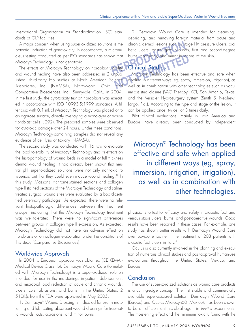International Organization for Standardization (ISO) standards at GLP facilities.

A major concern when using super-oxidized solutions is the potential induction of genotoxicity. In accordance, a micronucleus testing conducted as per ISO standards has shown that Microcyn Technology is not genotoxic.

The effects of Microcyn Technology on fibroblast viability and wound healing have also been addressed in 2 unpublished, third-party lab studies at North American Science Associates, Inc. (NAMSA), Northwood, Ohio, and Comparative Biosciences, Inc., Sunnyvale, Calif., in 2004. In the first study, the cytotoxicity test on fibroblasts was executed in accordance with ISO 10993-5:1999 standards. A filter disc with 0.1 mL of Microcyn Technology was placed onto an agarose surface, directly overlaying a monolayer of mouse fibroblast cells (L-292). The prepared samples were observed for cytotoxic damage after 24 hours. Under these conditions, Microcyn Technology-containing samples did not reveal any evidence of cell lysis or toxicity (NAMSA).

The second study was conducted with 16 rats to evaluate the local tolerability of Microcyn Technology and its effects on the histopathology of wound beds in a model of full-thickness dermal wound healing. It had already been shown that neutral pH super-oxidized solutions were not only non-toxic to wounds, but that they could even induce wound healing.<sup>13</sup> In this study, Masson's trichrome-stained sections and collagen type II-stained sections of the Microcyn Technology and salinetreated surgical wound sites were evaluated by a board-certified veterinary pathologist. As expected, there were no relevant histopathologic differences between the treatment groups, indicating that the Microcyn Technology treatment was well-tolerated. There were no significant differences between groups in collagen type II expression. As expected, Microcyn Technology did not have an adverse effect on fibroblasts or on collagen elaboration under the conditions of this study (Comparative Biosciences).

### Worldwide Approvals

In 2004, a European approval was obtained (CE KEMA - Medical Device Class IIb). Dermacyn Wound Care (formulated with Microcyn Technology) is a super-oxidized solution intended for use in the moistening, irrigation, debridement, and microbial load reduction of acute and chronic wounds, ulcers, cuts, abrasions, and burns. In the United States, 2 510(k)s from the FDA were approved in May 2005:

1. Dermacyn™ Wound Dressing is indicated for use in moistening and lubricating absorbent wound dressings for traumatic wounds, cuts, abrasions, and minor burns

S is the chronic dermal lesions such as straited in the chronic dermal lesions wound<br>
What we dermal derman and minor irrited and minor in the change of the change of the change of the change of the change of the change of 2. Dermacyn Wound Care is intended for cleansing, debriding, and removing foreign material from acute and chronic dermal lesions such as stage I-IV pressure ulcers, diabetic ulcers, post-surgical wounds, first- and second-degree burns, abrasions, and minor irritations of the skin.

Clinical Studies

That burns, abrasions, and minor irritation<br> **Notation Studies**<br>
Apub-Microcyn Technology has been<br>
Lence applied in different ways (eg, spray<br>
and well as in combination with other to Microcyn Technology has been effective and safe when applied in different ways (eg, spray, immersion, irrigation), as well as in combination with other technologies such as vacuum-assisted closure (VAC Therapy, KCI, San Antonio, Texas) and the Versajet Hydrosurgery system (Smith & Nephew, Largo, Fla.). According to the type and stage of the lesion, it can be applied once, twice, or 3 times daily.

> Pilot clinical evaluations—mainly in Latin America and Europe—have already been conducted by independent

Microcyn® Technology has been effective and safe when applied in different ways (eg, spray, immersion, irrigation, irrigation), as well as in combination with other technologies.

physicians to test for efficacy and safety in diabetic foot and venous stasis ulcers, burns, and postoperative wounds. Good results have been reported in these cases. For example, one study has shown better results with Dermacyn Wound Care over povidone iodine in the treatment of 208 patients with diabetic foot ulcers in Italy.<sup>5</sup>

Oculus is also currently involved in the planning and execution of numerous clinical studies and post-approval human-use evaluations throughout the United States, Mexico, and Europe.

### Conclusion

The use of super-oxidized solutions as wound care products is a cutting-edge concept. The first stable and commercially available super-oxidized solution, Dermacyn Wound Care (Europe) and Oculus Microcyn60 (Mexico), has been shown to be an efficient antimicrobial agent in *in-vitro* experiments. The moistening effect and the minimum toxicity found with the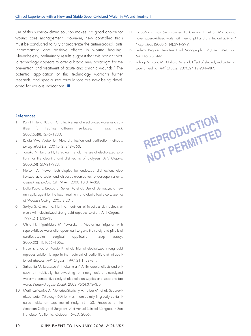use of this super-oxidized solution makes it a good choice for wound care management. However, new controlled trials must be conducted to fully characterize the antimicrobial, antiinflammatory, and positive effects in wound healing. Nevertheless, preliminary results suggest that this non-antibiotic technology appears to offer a broad new paradigm for the prevention and treatment of acute and chronic wounds.<sup>5</sup> The potential application of this technology warrants further research, and specialized formulations are now being developed for various indications. **■**

- References
- 1. Park H, Hung YC, Kim C. Effectiveness of electrolyzed water as a sanitizer for treating different surfaces. *J Food Prot.* 2002;65(8):1276–1280.
- 2. Rutala WA, Weber DJ. New disinfection and sterilization methods. *Emerg Infect Dis.* 2001;7(2):348–353.
- 3. Tanaka N, Tanaka N, Fujisawa T, et al. The use of electrolyzed solutions for the cleaning and disinfecting of dialyzers. *Artif Organs*. 2000;24(12):921–928.
- 4. Nelson D. Newer technologies for endoscop disinfection: electrolyzed acid water and disposable-component endoscope systems. *Gastrointest Endosc Clin N Am*. 2000;10:319–328.
- 5. Dalla Paola L, Brocco E, Senesi A, et al. Use of Dermacyn, a new antiseptic agent for the local treatment of diabetic foot ulcers. *Journal of Wound Healing*. 2005;2:201.
- 6. Sekiya S, Ohmori K, Harii K. Treatment of infectious skin defects or ulcers with electrolyzed strong acid aqueous solution. Artif Organs. 1997;21(1):32–38.
- 7. Ohno H, Higashidate M, Yokosuka T. Mediastinal irrigation with superoxidized water after open-heart surgery: the safety and pitfalls of cardiovascular surgical application. *Surg Today*. 2000;30(11):1055–1056.
- 8. Inoue Y, Endo S, Kondo K, et al. Trial of electrolyzed strong acid aqueous solution lavage in the treatment of peritonitis and intraperitoneal abscess. *Artif Organs*. 1997;21(1):28–31.
- 9. Sakashita M, Iwasawa A, Nakamura Y. Antimicrobial effects and efficacy on habitually hand-washing of strong acidic electrolyzed water—a comparitive study of alcoholic antiseptics and soap and tap water. *Kansenshogaku Zasshi.* 2002;76(5):373–377.
- 10. Martinez-Munive A, Menedez-Skertchly A, Toiber M, et al. Super-oxidized water (Microcyn 60) for mesh hernioplasty in grossly contaminated fields: an experimental study. SE 163. Presented at the American College of Surgeons 91st Annual Clinical Congress in San Francisco, California, October 16–20, 2005.
- 11. Landa-Solis, González-Espinosa D, Guzman B, et al. Microcyn a novel super-oxidized water with neutral pH and disinfectant activity. *J Hosp Infect.* (2005;61(4):291–299.
- 12. Federal Register. Tentative Final Monograph. 17 June 1994, vol. 59:116,p.31444.
- 13. Yahagi N, Kono M, Kitahara M, et al. Effect of electrolyzed water on wound healing. *Artif Organs*. 2000;24(12)984–987.

**REPRODUCTION NOT PERMITTED**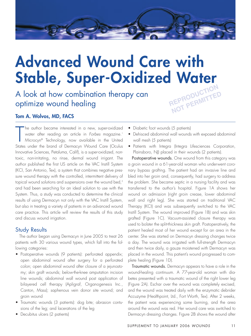

# **Advanced Wound Care with Stable, Super-Oxidized Water REPRODUCTION**

A look at how combination therapy can optimize wound healing

# **Tom A. Wolvos, MD, FACS**

The author became interested in a new, super-oxidized<br>
water after reading an article in *Forbes* magazine.<sup>1</sup><br>
Microcyn® Technology, now available in the United<br>
States under the brand of Dermacyn Wound Care (Oculus he author became interested in a new, super-oxidized water after reading an article in *Forbes* magazine.<sup>1</sup> Microcyn® Technology, now available in the United Innovative Sciences, Petaluma, Calif), is a super-oxidized, nontoxic, non-irritating, no rinse, dermal wound irrigant. The author published the first US article on the VAC Instill System (KCI, San Antonio, Tex), a system that combines negative pressure wound therapy with the controlled, intermittent delivery of topical wound solutions and suspensions over the wound bed,<sup>2</sup> and had been searching for an ideal solution to use with the System. Thus, a study was conducted to determine the clinical results of using Dermacyn not only with the VAC Instill System, but also in treating a variety of patients in an advanced wound care practice. This article will review the results of this study and discuss wound irrigation.

# Study Results

The author began using Dermacyn in June 2005 to treat 26 patients with 30 various wound types, which fall into the following categories:

- Postoperative wounds (9 patients): perforated appendix; open abdominal wound after surgery for a perforated colon; open abdominal wound after closure of a jejunostomy; skin graft wounds; below-the-knee amputation incision line wounds; abdominal wall wound post application of bilayered cell therapy (Apligraf, Organogenesis Inc., Canton, Mass); saphenous vein donor site wound; and groin wound
- Traumatic wounds (3 patients): dog bite; abrasion contusions of the leg; and lacerations of the leg
- Decubitus ulcers (2 patients)
- Diabetic foot wounds (5 patients)
- Dehisced abdominal wall wounds with exposed abdominal wall mesh (5 patients)

**NOT PERMITTED** 

• Patients with Integra (Integra Lifesciences Corporation, Plainsboro, NJ) placed in their wounds (2 patients).

Postoperative wounds. One wound from this category was a groin wound in a 61-year-old woman who underwent coronary bypass grafting. The patient had an invasive line and bled into her groin and, consequently, had surgery to address the problem. She became septic in a nursing facility and was transferred to the author's hospital. Figure 1A shows her wound on admission (right groin crease, lower abdominal wall and right leg). She was started on traditional VAC Therapy (KCI) and was subsequently switched to the VAC Instill System. The wound improved (Figure 1B) and was skin grafted (Figure 1C). Vacuum-assisted closure therapy was used to bolster the split-thickness skin graft. Postoperatively, the patient healed most of her wound except for an area in the center. She was started on Dermacyn dressing changes twice a day. The wound was irrigated with full-strength Dermacyn and then twice daily, a gauze moistened with Dermacyn was placed in the wound. This patient's wound progressed to complete healing (Figure 1D).

Traumatic wounds. Dermacyn appears to have a role in the wound-healing continuum. A 77-year-old woman with diabetes presented with a traumatic wound of the right lower leg (Figure 2A). Eschar over the wound was completely excised, and the wound was treated daily with the enzymatic debrider Accuzyme (Healthpoint, Ltd., Fort Worth, Tex). After 2 weeks, the patient was experiencing some burning, and the area around the wound was red. Her wound care was switched to Dermacyn dressing changes. Figure 2B shows the wound after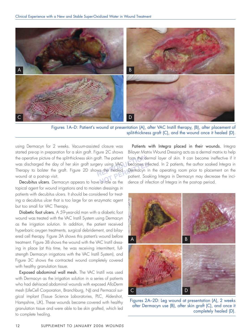

Figures 1A–D: Patient's wound at presentation (A), after VAC Instill therapy, (B), after placement of split-thickness graft (C), and the wound once it healed (D).

the operative picture of the split-thickness skin graft. The patient form the d<br>
was discharged the day of her skin graft surgery using VAC becomes in<br>
Therapy to bolster the graft. Figure 2D shows the healed Dermacyn<br>
Wou using Dermacyn for 2 weeks. Vacuum-assisted closure was started pre-op in preparation for a skin graft. Figure 2C shows was discharged the day of her skin graft surgery using VAC Therapy to bolster the graft. Figure 2D shows the healed wound at a post-op visit.

Decubitus ulcers. Dermacyn appears to have a role as the topical agent for wound irrigations and to moisten dressings in patients with decubitus ulcers. It should be considered for treating a decubitus ulcer that is too large for an enzymatic agent but too small for VAC Therapy.

Diabetic foot ulcers. A 59-year-old man with a diabetic foot wound was treated with the VAC Instill System using Dermacyn as the irrigation solution. In addition, the patient received hyperbaric oxygen treatments, surgical debridement, and bilayered cell therapy. Figure 3A shows this patient's wound before treatment. Figure 3B shows the wound with the VAC Instill dressing in place (at this time, he was receiving intermittent, fullstrength Dermacyn irrigations with the VAC Instill System), and Figure 3C shows the contracted wound completely covered with healthy granulation tissue.

Exposed abdominal wall mesh. The VAC Instill was used with Dermacyn as the irrigation solution in a series of patients who had dehisced abdominal wounds with exposed AlloDerm mesh (LifeCell Corporation, Branchburg, NJ) and Permacol surgical implant (Tissue Science Laboratories, PLC, Aldershot, Hampshire, UK). These wounds became covered with healthy granulation tissue and were able to be skin grafted, which led to complete healing.

ry using VAC becomes infl<br>s the healed Dermacyn in<br>patient. Soa<br>a role as the dence of infl Patients with Integra placed in their wounds. Integra Bilayer Matrix Wound Dressing acts as a dermal matrix to help form the dermal layer of skin. It can become ineffective if it becomes infected. In 2 patients, the author soaked Integra in Dermacyn in the operating room prior to placement on the patient. Soaking Integra in Dermacyn may decrease the incidence of infection of Integra in the post-op period.



Figures 2A–2D: Leg wound at presentation (A), 2 weeks after Dermacyn use (B), after skin graft (C), and once it completely healed (D).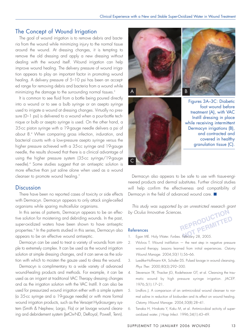# The Concept of Wound Irrigation

The goal of wound irrigation is to remove debris and bacteria from the wound while minimizing injury to the normal tissue around the wound. At dressing changes, it is tempting to remove the old dressing and apply a new dressing without dealing with the wound itself. Wound irrigation can help improve wound healing. The delivery pressure of wound irrigation appears to play an important factor in promoting wound healing. A delivery pressure of 5–10 psi has been an accepted range for removing debris and bacteria from a wound while minimizing the damage to the surrounding normal tissues.<sup>3</sup>

It is common to see fluid from a bottle being poured directly into a wound or to see a bulb syringe or an asepto syringe used to irrigate a wound at dressing changes. Virtually no pressure (0–1 psi) is delivered to a wound when a pour-bottle technique or bulb or asepto syringe is used. On the other hand, a 35-cc piston syringe with a 19-gauge needle delivers a psi of about 8.4 When comparing gross infection, induration, and bacterial counts with a low-pressure asepto syringe versus the higher pressure achieved with a 35-cc syringe and 19-gauge needle, the results showed that there is a clinical advantage of using the higher pressure system (35-cc syringe/19-gauge needle).4 Some studies suggest that an antiseptic solution is more effective than just saline alone when used as a wound cleanser to promote wound healing.<sup>5</sup>

### **Discussion**

There have been no reported cases of toxicity or side effects with Dermacyn. Dermacyn appears to only attack single-celled organisms while sparing multicellular organisms.

In this series of patients, Dermacyn appears to be an effective solution for moistening and debriding wounds. In the past, super-oxidized waters have been shown to have antiseptic properties.<sup>6</sup> In the patients studied in this series, Dermacyn also appears to be an effective wound antiseptic.

Dermacyn can be used to treat a variety of wounds from simple to extremely complex. It can be used as the wound irrigation solution at simple dressing changes, and it can serve as the solution with which to moisten the gauze used to dress the wound.

Dermacyn is complimentary to a wide variety of advanced wound-healing products and methods. For example, it can be used as an irrigant at traditional VAC Therapy dressing changes and as the irrigation solution with the VAC Instill. It can also be used for pressurized wound irrigation either with a simple system (a 35-cc syringe and a 19-gauge needle) or with more formal wound irrigation products, such as the Versajet Hydrosurgery system (Smith & Nephew, Largo, Fla) or jet lavage wound cleansing and debridement system (JetOx-ND, DeRoyal, Powell, Tenn).





Figures 3A–3C: Diabetic foot wound before treatment (A), with VAC Instill dressing in place while receiving intermittent Dermacyn irrigations (B), and contracted and covered in healthy granulation tissue (C).

Dermacyn also appears to be safe to use with tissue-engineered products and dermal substitutes. Further clinical studies will help confirm the effectiveness and compatibility of Dermacyn in the field of advanced wound care. **■**

**REPRODUCTION** *This study was supported by an unrestricted research grant by Oculus Innovative Sciences.*

#### References

- **REPRODUCTTED** References<br>1. Egan ME. Holy Water. *Forbes*. February 28, 2005.
- 2. Wolvos T. Wound instillation the next step in negative pressure wound therapy. Lessons learned from initial experiences. *Ostomy Wound Manage.* 2004;50(11):56–66.
- 3. Luedtke-Hoffmann KA, Schafer DS. Pulsed lavage in wound cleansing. *Phys Ther*. 2000;80(3):292–300.
- 4. Stevenson TR, Thacker JG, Rodeheaver GT, et al. Cleansing the traumatic wound by high pressure syringe irrigation. *JACEP*. 1976;5(1):17–21.
- 5. Lindfors J. A comparison of an antimicrobial wound cleanser to normal saline in reduction of bioburden and its effect on wound healing. *Ostomy Wound Manage.* 2004;50(8):28–41.
- 6. Tanaka H, Hirakata Y, Kaku M, et al. Antimicrobial activity of superoxidized water. *J Hosp Infect*. 1996;34(1):43–49.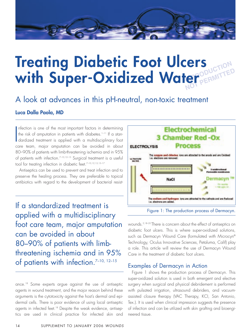

# **CETS**<br>**REPOPUCTION NOT** PERMITTED **Treating Diabetic Foot Ulcers with Super-Oxidized Water**

A look at advances in this pH-neutral, non-toxic treatment **Luca Dalla Paola, MD**

 $\overline{\phantom{a}}$ nfection is one of the most important factors in determining the risk of amputation in patients with diabetes.<sup>1-11</sup> If a standardized treatment is applied with a multidisciplinary foot care team, major amputation can be avoided in about 80–90% of patients with limb-threatening ischemia and in 95% of patients with infection.7–10,12–15 Surgical treatment is a useful tool for treating infection in diabetic feet.<sup>7-10,12,13,15-17</sup>

Antiseptics can be used to prevent and treat infection and to preserve the healing process. They are preferable to topical antibiotics with regard to the development of bacterial resist-

If a standardized treatment is applied with a multidisciplinary foot care team, major amputation can be avoided in about 80–90% of patients with limbthreatening ischemia and in 95% of patients with infection.7–10, 12–15

ance.18 Some experts argue against the use of antiseptic agents in wound treatment, and the major reason behind these arguments is the cytotoxicity against the host's dermal and epidermal cells. There is poor evidence of using local antiseptic agents in infected feet.<sup>18</sup> Despite the weak evidence, antiseptics are used in clinical practice for infected skin and



wounds.2,18–20 There is concern about the effect of antiseptics on diabetic foot ulcers. This is where super-oxidized solutions, such as Dermacyn Wound Care (formulated with Microcyn® Technology, Oculus Innovative Sciences, Petaluma, Calif) play a role. This article will review the use of Dermacyn Wound Care in the treatment of diabetic foot ulcers.

# Examples of Dermacyn in Action

Figure 1 shows the production process of Dermacyn. This super-oxidized solution is used in both emergent and elective surgery when surgical and physical debridement is performed with pulsated irrigation, ultrasound debriders, and vacuumassisted closure therapy (VAC Therapy, KCI, San Antonio, Tex.). It is used when clinical impression suggests the presence of infection and can be utilized with skin grafting and bioengineered tissue.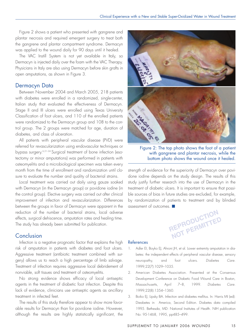Figure 2 shows a patient who presented with gangrene and plantar necrosis and required emergent surgery to treat both the gangrene and plantar compartment syndrome. Dermacyn was applied to the wound daily for 90 days until it healed.

The VAC Instill System is not yet available in Italy, so Dermacyn is injected daily over the foam with the VAC Therapy. Physicians in Italy are also using Dermacyn before skin grafts in open amputations, as shown in Figure 3.

#### Dermacyn Data

Between November 2004 and March 2005, 218 patients with diabetes were enrolled in a randomized, single-center, Italian study that evaluated the effectiveness of Dermacyn. Stage II and III ulcers were enrolled using Texas University Classification of foot ulcers, and 110 of the enrolled patients were randomized to the Dermacyn group and 108 to the control group. The 2 groups were matched for age, duration of diabetes, and class of ulceration.

All patients with peripheral vascular disease (PVD) were referred for revascularization using endovascular techniques or bypass surgery.6,21–24 Surgical treatment of bone infection (esotectomy or minor amputations) was performed in patients with osteomyelitis and a microbiological specimen was taken every month from the time of enrollment and randomization until closure to evaluate the number and quality of bacterial strains.

Local treatment was carried out daily using gauze soaked with Dermacyn (in the Dermacyn group) or povidone iodine (in the control group). Elective surgery was carried out after clinical improvement of infection and revascularization. Differences between the groups in favor of Dermacyn were apparent in the reduction of the number of bacterial strains, local adverse effects, surgical dehiscence, amputation rates and healing time. The study has already been submitted for publication.

# **Conclusion**

Infection is a negative prognostic factor that explains the high risk of amputation in patients with diabetes and foot ulcers. Aggressive treatment (antibiotic treatment combined with surgery) allows us to reach a high percentage of limb salvage. Treatment of infection requires aggressive local debridement of nonviable, soft tissues and treatment of osteomyelitis.

No strong evidence shows efficacy of local antiseptic agents in the treatment of diabetic foot infection. Despite this lack of evidence, clinicians use antiseptic agents as ancillary treatment in infected feet.

The results of this study therefore appear to show more favorable results for Dermacyn than for povidone iodine. However, although the results are highly statistically significant, the



Figure 2: The top photo shows the foot of a patient with gangrene and plantar necrosis, while the bottom photo shows the wound once it healed.

strength of evidence for the superiority of Dermacyn over povidone iodine depends on the study design. The results of this study justify further research into the use of Dermacyn in the treatment of diabetic ulcers. It is important to ensure that possible sources of bias in future studies are excluded, for example, by randomization of patients to treatment and by blinded assessment of outcomes. **■**



#### References

- 1. Adler EI, Boyko EJ, Ahroni JH, et al. Lower extremity amputation in diabetes: the independent effects of peripheral vascular disease, sensory neuropathy, and foot ulcers. *Diabetes Care*. 1999;22(7):1029–1035.
- 2. American Diabetes Association. Presented at the Consensus Development Conference on Diabetic Food Wound Care in Boston, Massachusetts, April 7–8, 1999. *Diabetes Care*. 1999;22(8):1354–1360.
- 3. Boiko EJ, Lipsky BA. Infection and diabetes mellitus. In: Harris MI (ed): Dieabetes in America, Second Edition. Diabetes data compiled 1995. Bethesda, MD: National Institutes of Health. NIH publication No: 95-1468, 1995, pp485–499.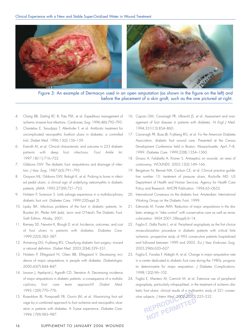

Figure 3: An example of Dermacyn used in an open amputation (as shown in the figure on the left) and before the placement of a skin graft, such as the one pictured at right.

- 4. Chang BB, Darling RC III, Paty PSK, et al. Expeditious management of ischemic invasive foot infections. *Cardiovasc Surg.* 1996;4(6):792–795.
- 5. Chantelau E, Tanudjaja T, Altenhofer F, et al. Antibiotic treatment for uncomplicated neuropathic forefoot ulcers in diabetes: a controlled trial. *Diabet Med.* 1996;13(2):156–159.
- 6. Eneroth M, et al. Clinical characteristic and outcome in 223 diabetic patients with deep foot infections. *Foot Ankle Int*. 1997;18(11):716–722.
- 7. Gibbons GW. The diabetic foot: amputations and drainage of infection. *J Vasc Surg*. 1987;6(5):791–793.
- 8. Grayson ML, Gibbons GW, Balogh K, et al. Probing to bone in infected pedal ulcers: a clinical sign of underlying osteomyelitis in diabetic patients. *JAMA*. 1995;273(9):721–723.
- 9. Holstein P, Sorenson S. Limb salvage experience in a multidisciplinary diabetic foot unit. *Diabetes Care.* 1999;22(Suppl 2).
- 10. Lipsky BA. Infectious problems of the foot in diabetic patients. In: Bowker JH, Pfeifer MA (eds). Levin and O'Neal's The Diabetic Foot. Sixth Edition. Mosby, 2001.
- 11. Ramsey SD, Newton K, Blough D, et al. Incidence, outcomes, and cost of foot ulcers in patients with diabetes. *Diabetes Care*. 1999;22(3):382–387.
- 12. Armstrong DG, Frykberg RG. Classifying diabetic foot surgery: toward a rational definition. *Diabet Med.* 2003;20(4):329–331.
- 13. Holstein P, Ellitsgaard N, Olsen BB, Ellitsgaard V. Decreasing incidence of major amputations in people with diabetes. *Diabetologia*. 2000;43(7):844–847.
- 14. Larsson J, Apelqvist J, Agardh CD, Stenstron A. Decreasing incidence of major amputations in diabetic patients: a consequence of a multidisciplinary foot care team appraoch? *Diabet Med.* 1995;12(9):770–776.
- 15. Rosenblum BI, Pomposelli FB, Giurini JM, et al. Maximizing foot salvage by a combined approach to foot ischemia and neuropathic ulceration in patients with diabetes. A 5-year experience. *Diabetes Care.* 1994;17(9):983–987.
- 16. Caputo GM, Cavanagh PR, Ulbrecht JS, et al. Assessment and management of foot disease in patients with diabetes. *N Engl J Med.* 1994;331(13):854–860.
- 17. Cavanagh PR, Buse JB, Frykberg RG, et al. For the American Diabetes Association: diabetic foot wound care. Presented at the Census Development Conference held in Boston, Massachusetts, April 7–8, 1999. *Diabetes Care.* 1999;22(8):1354–1360.
- 18. Drosou A, Falabella A, Kirsner S. Antiseptics on wounds: an area of controversy. *WOUNDS*. 2003;15(5):149–166.
- 19. Bergstrom N, Bennet MA, Carlson CE, et al. Clinical practice guildeline number 15: treatment of pressure ulcers. Rockville MD: US Department of Health and Human Services. Agency for Health Care Policy and Research. AHCPR Publication. 1994;65–0652.
- 20. International Consensus on the diabetic foot. Amsterdam: International Working Group on the Diabetic Foot, 1999.
- 21. Edmonds M, Forster AVM. Reduction of major amputations in the diabetic strategy to "take control" with conservative care as well as revascularization. *VASA* 2001;58(suppl):6–14.
- 22. Faglia E, Dalla Paola L, et al. Peripheral angioplasty as the first choice revascularization procedure in diabetic patients with critical limb ischemia: prospective study of 993 consecutive patients hospitalized and followed between 1999 and 2003. *Eur J Vasc Endovasc Surg*. 2005;29(6):620–627.
- 23. Faglia E, Favales F, Aldeghi A, et al. Change in major amputation rate in a center dedicated to diabetic foot care during the 1980s: prognostic determinatnts for major amputation. *J Diabetes Complications.* 1998;12(2):96–102.
- 24. Faglia E, Mantero M, Caminiti M, et al. Extensive use of peripheral angioplasty, particularly infrapopliteal, in the treatment of ischemic diabetic foot ulcers: clinical results of a multicentric study of 221 consecutive subjects. *J Intern Med*. 2002;252(3):225–232.

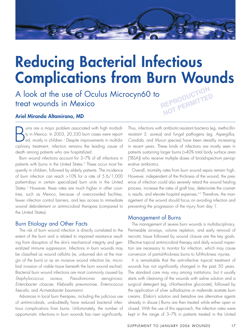

# **Reducing Bacterial Infectious Complications from Burn Wounds REPRODUCTION**

A look at the use of Oculus Microcyn60 to treat wounds in Mexico **NOT PERMITTED** 

# **Ariel Miranda Altamirano, MD**

Burns are a major problem associated with high morbidity by in Mexico. In 2003, 20,330 burn cases were reported, mostly in children.<sup>1</sup> Despite improvements in multidisciplinary treatment, infection remains the leading cau urns are a major problem associated with high morbidity in Mexico. In 2003, 20,330 burn cases were reported, mostly in children.<sup>1</sup> Despite improvements in multidisdeath among patients who are hospitalized.

Burn wound infections account for 3–7% of all infections in patients with burns in the United States.<sup>2</sup> These occur most frequently in children, followed by elderly patients. The incidence of burn infection can reach >10% for a rate of 5.6/1,000 patient-days in certain specialized burn units in the United States.<sup>3</sup> However, these rates are much higher in other countries, such as Mexico, because of overcrowded facilities, fewer infection control barriers, and less access to immediate wound debridement or antimicrobial therapies (compared to the United States).

# Burn Etiology and Other Facts

The risk of burn wound infection is directly correlated to the extent of the burn and is related to impaired resistance resulting from disruption of the skin's mechanical integrity and generalized immune suppression. Infections in burn wounds may be classified as wound cellulitis (ie, unburned skin at the margin of the burn) or as an invasive wound infection (ie, microbial invasion of viable tissue beneath the burn wound eschar). Bacterial burn wound infections are most commonly caused by *Staphylococcus aureus*, *Pseudomonas aeruginosa*, *Enterobacter cloacae*, *Klebsiella pneumoniae*, *Enterococcus faecalis,* and *Acinetobacter baumannii*.

Advances in local burn therapies, including the judicious use of antimicrobials, undoubtedly have reduced bacterial infectious complications from burns. Unfortunately, the number of opportunistic infections in burn wounds has risen significantly.

Thus, infections with antibiotic-resistant bacteria (eg, methicillinresistant *S. aureus*) and fungal pathogens (eg, *Aspergillus*, *Candida,* and *Mucor* species) have been steadily increasing in recent years. These kinds of infections are mostly seen in patients sustaining larger burns (>40% total body surface area [TBSA]) who receive multiple doses of broad-spectrum perioperative antibiotics.

Overall, mortality rates from burn wound sepsis remain high. However, independent of the thickness of the wound, the presence of infection could also severely retard the wound healing process, increase the rates of graft loss, deteriorate the cosmetic results, and elevate hospital expenses.<sup>4,5</sup> Therefore, the management of the wound should focus on avoiding infection and preventing the progression of the injury from day 1.

### Management of Burns

The management of severe burn wounds is multidisciplinary. Permeable airways, volume repletion, and early removal of necrotic tissue followed by wound closure are the key goals. Effective topical antimicrobial therapy and daily wound inspection are necessary to monitor for infection, which may cause conversion of partial-thickness burns to full-thickness injuries.

It is remarkable that the anti-infective topical treatment of wounds has not significantly changed in the past 50 years. The standard care may vary among institutions, but it usually starts with cleansing of the wounds with saline solution and a surgical detergent (eg, chlorhexidine gluconate), followed by the application of silver sulfadiazine or mafenide acetate burn creams. (Dakin's solution and betadine are alternative agents already in disuse.) Burns are then treated while either open or closed. With the use of this approach, the infection rates were kept in the range of 3–7% in patients treated in the United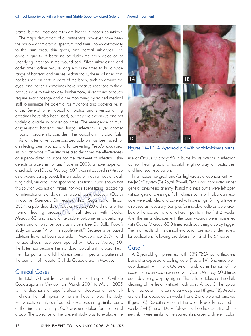States, but the infections rates are higher in poorer countries.<sup>2</sup>

The major drawbacks of all antiseptics, however, have been the narrow antimicrobial spectrum and their known cytotoxicity to the burn area, skin grafts, and dermal substitutes. The opaque quality of betadine precludes the early detection of underlying infection in the wound bed. Silver sulfadiazine and cadexomer iodine require long exposure times to kill a wide range of bacteria and viruses. Additionally, these solutions cannot be used on certain parts of the body, such as around the eyes, and patients sometimes have negative reactions to these products due to their toxicity. Furthermore, silver-based products require exact dosage and close monitoring by trained medical staff to minimize the potential for mutations and bacterial resistance. Several other topical antibiotics and silver-containing dressings have also been used, but they are expensive and not widely available in poorer countries. The emergence of multidrug-resistant bacteria and fungal infections is yet another important problem to consider if the topical antimicrobial fails.

rmiani, nor was in sensirizing<br>ards for wound care produ<sub>s</sub><br>Stillmeadow, Tnc., Sugar La<br>ta). Oculus Microcyn60 did i illmeadow, Inc., Sugar Land<br>Illmeadow, Inc., Sugar Land<br>Isss.<sup>®</sup> Clinical studies with As an alternative, super-oxidized solution has been used for disinfecting burn wounds and for preventing *Pseudomonas* sepsis in a rat model.<sup>6</sup> The literature also describes the effectiveness of super-oxidized solutions for the treatment of infectious skin defects or ulcers in humans.<sup>7</sup> Late in 2003, a novel super-oxidized solution (Oculus Microcyn60™) was introduced in Mexico as a wound care product. It is a stable, pH-neutral, bactericidal, fungicidal, virucidal, and sporocidal solution.<sup>8</sup> It was shown that this solution was not an irritant, nor was it sensitizing, according to international standards for wound care products (Oculus Innovative Sciences; Stillmeadow, Inc., Sugar Land, Texas, 2004, unpublished data). Oculus Microcyn60 did not alter the normal healing process.9 Clinical studies with Oculus Microcyn60 also show a favorable outcome in diabetic leg ulcers and chronic venous stasis ulcers (see Dr. Dalla Paola's study on page 14 of this supplement).<sup>10</sup> Because silver-based solutions have not been available in Mexico since 2004, and no side effects have been reported with Oculus Microcyn60, the latter has become the standard topical antimicrobial treatment for partial- and full-thickness burns in pediatric patients at the burn unit of Hospital Civil de Guadalajara in Mexico.

# Clinical Cases

In total, 64 children admitted to the Hospital Civil de Guadalajara in Mexico from March 2004 to March 2005 with a diagnosis of superficial-partial, deep-partial, and fullthickness thermal injuries to the skin have entered the study. Retrospective analysis of paired cases presenting similar burns at that institution during 2003 was undertaken for the control group. The objective of the present study was to evaluate the



Figures 1A–1D. A 2-year-old girl with partial-thickness burns.

use of Oculus Microcyn60 in burns by its actions in infection control, healing activity, hospital length of stay, antibiotic use, and final scar evaluation.

In all cases, surgical and/or high-pressure debridement with the JetOx™ system (De Royal, Powell, Tenn.) was conducted under general anesthesia at entry. Partial-thickness burns were left open without gels or dressings. Full-thickness burns with abundant exudate were debrided and covered with dressings. Skin grafts were also used as necessary. Samples for microbial cultures were taken before the excision and at different points in the first 2 weeks. After the initial debridement, the burn wounds were moistened with Oculus Microcyn60 3 times each day using a spray trigger. The final results of this clinical evaluation are now under review for publication. Following are details from 2 of the 64 cases.

#### Case 1

A 2-year-old girl presented with 33% TBSA partial-thickness burns after exposure to boiling water (Figure 1A). She underwent debridement with the JetOx system and, as in the rest of the cases, the lesion was moistened with Oculus Microcyn60 3 times each day using a spray trigger. The children tolerated the daily cleaning of the lesion without much pain. At day 3, the typical bright red color in the burn area was present (Figure 1B). Aseptic eschars then appeared on weeks 1 and 2 and were not removed (Figure 1C). Re-epithelization of the wounds usually occurred in weeks 3–4 (Figure 1D). At follow up, the characteristics of the new skin were similar to the spared skin, albeit a different color.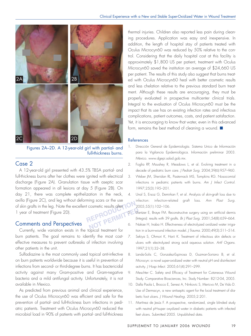

Figures 2A–2D. A 12-year-old girl with partial- and full-thickness burns.

# Case 2

REPRODUCTION **NOT PERMIT PE BO** A 12-year-old girl presented with 43.5% TBSA partial- and full-thickness burns after her clothes were ignited with electrical discharge (Figure 2A). Granulation tissue with aseptic scar formation appeared in all lesions at day 5 (Figure 2B). On day 21, there was complete epithelization in the neck, axilla (Figure 2C), and leg without deforming scars or the use of skin grafts in the leg. Note the excellent cosmetic results after 10<br>1 year of treatment (Figure 2D). 1 year of treatment (Figure 2D).

# Comments and Perspectives

Currently, wide variation exists in the topical treatment for burn patients. The goal remains to identify the most costeffective measures to prevent outbreaks of infection involving other patients in the unit.

Sulfadiazine is the most commonly used topical anti-infective on burn patients worldwide because it is useful in prevention of infections from second- or third-degree burns. It has bactericidal activity against many Gram-positive and Gram-negative bacteria and a mild antifungal activity. Unfortunately, it is not available in Mexico.

As predicted from previous animal and clinical experience, the use of Oculus Microcyn60 was efficient and safe for the prevention of partial- and full-thickness burn infections in pediatric patients. Treatment with Oculus Microcyn60 reduced the microbial load in 90% of patients with partial- and full-thickness thermal injuries. Children also reported less pain during cleaning procedures. Application was easy and inexpensive. In addition, the length of hospital stay of patients treated with Oculus Microcyn60 was reduced by 50% relative to the control. Considering that the daily hospital cost at this facility is approximately \$1,800 US per patient, treatment with Oculus Microcyn60 saved the institution an average of \$24,660 US per patient. The results of this study also suggest that burns treated with Oculus Microcyn60 heal with better cosmetic results and less chelation relative to the previous standard burn treatment. Although these results are encouraging, they must be properly evaluated in prospective multicenter clinical trials. Integral to the evaluation of Oculus Microcyn60 must be the impact that its use has on existing infection rates and infectious complications, patient outcomes, costs, and patient satisfaction. Yet, it is encouraging to know that water, even in this advanced form, remains the best method of cleaning a wound. **■**

#### References

- 1. Dirección General de Epidemiología. Sistema Unico de Información para la Vigilancia Epidemiológica. Información preliminar 2003. México. www.dgepi.salud.gob.mx.
- 2. Foglia RP, Moushey R, Meadows L, et al. Evolving treatment in a decade of pediatric burn care. *J Pediatr Surg*. 2004;39(6):957–960.
- 3. Weber JM, Sheridan RL, Pasternack MS, Tompkins RG. Nosocomial infections in pediatric patients with burns. *Am J Infect Control.* 1997;25(3):195–201.
- 4. Unal S, Ersoz G, Demirkan F, et al. Analysis of skin-graft loss due to infection: infection-related graft loss. *Ann Plast Surg.* 2005;55(1):102–106.

5. Dantzer E, Braye FM. Reconstructive surgery using an artificial dermis (Integra): results with 39 grafts. *Br J Plast Surg.* 2001;54(8):659–664.

- 6. Nakae H, Inaba H. Effectiveness of electrolyzed oxidized water irrigation in a burn-wound infection model. *J Trauma.* 2000;49(3):511–514.
- 7. Sekiya S, Ohmori K, Harii K. Treatment of infectious skin defects or ulcers with electrolyzed strong acid aqueous solution. *Artif Organs.* 1997;21(1):32–38.
- 8. Landa-Solis C, Gonzalez-Espinosa D, Guzman-Soriano B, et al. Microcyn: a novel super-oxidized water with neutral pH and disinfectant activity. *J Hosp Infect*. 2005;61(4):291–299.
- 9. Meschter C. Safety and Efficacy of Treatment for Cutaneous Wound Study. Comparative Biosciences, Inc. Study Number: 8212-04, 2005.
- 10. Dalla Paola L, Brocco E, Senesi A, Ninkovic S, Mericvo M, De Vido D. Use of Dermacyn, a new antiseptic agent for the local treatment of diabetic foot ulcers. *J Wound Healing.* 2005;2:201.
- 11. Martínez de Jesús F. A prospective, randomized, single blinded study with neutral pH-super oxydized water in diabetic patients with infected feet ulcers. Submitted 2005. Unpublished data.